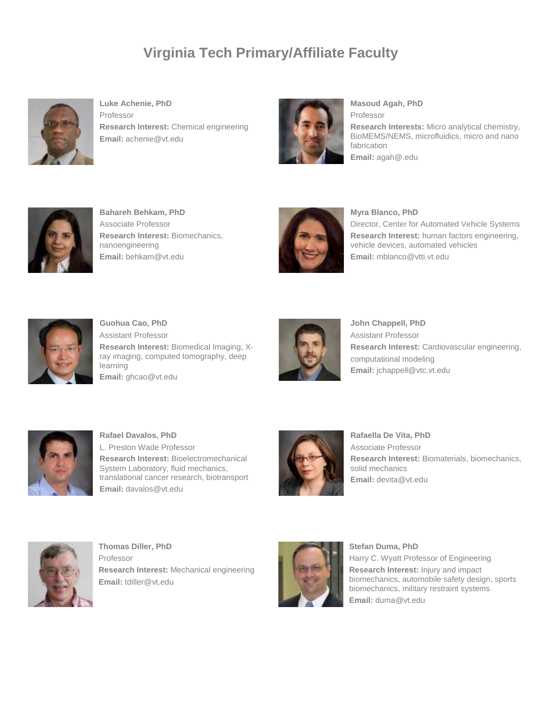## **Virginia Tech Primary/Affiliate Faculty**



**Luke Achenie, PhD** Professor **Research Interest:** Chemical engineering **Email:** achenie@vt.edu



**Masoud Agah, PhD** Professor

**Research Interests:** Micro analytical chemistry, BioMEMS/NEMS, microfluidics, micro and nano fabrication **Email:** agah@.edu



**Bahareh Behkam, PhD** Associate Professor **Research Interest:** Biomechanics, nanoengineering **Email:** behkam@vt.edu



**Myra Blanco, PhD**

Director, Center for Automated Vehicle Systems **Research Interest:** human factors engineering, vehicle devices, automated vehicles **Email:** mblanco@vtti.vt.edu



**Guohua Cao, PhD** Assistant Professor **Research Interest:** Biomedical Imaging, Xray imaging, computed tomography, deep learning **Email:** ghcao@vt.edu



**John Chappell, PhD** Assistant Professor **Research Interest:** Cardiovascular engineering, computational modeling **Email:** jchappell@vtc.vt.edu



**Rafael Davalos, PhD** L. Preston Wade Professor **Research Interest:** Bioelectromechanical System Laboratory, fluid mechanics, translational cancer research, biotransport **Email:** davalos@vt.edu



**Rafaella De Vita, PhD** Associate Professor **Research Interest:** Biomaterials, biomechanics, solid mechanics **Email:** devita@vt.edu



**Thomas Diller, PhD** Professor **Research Interest:** Mechanical engineering **Email:** tdiller@vt.edu



**Stefan Duma, PhD**

Harry C. Wyatt Professor of Engineering **Research Interest:** Injury and impact biomechanics, automobile safety design, sports biomechanics, military restraint systems **Email:** duma@vt.edu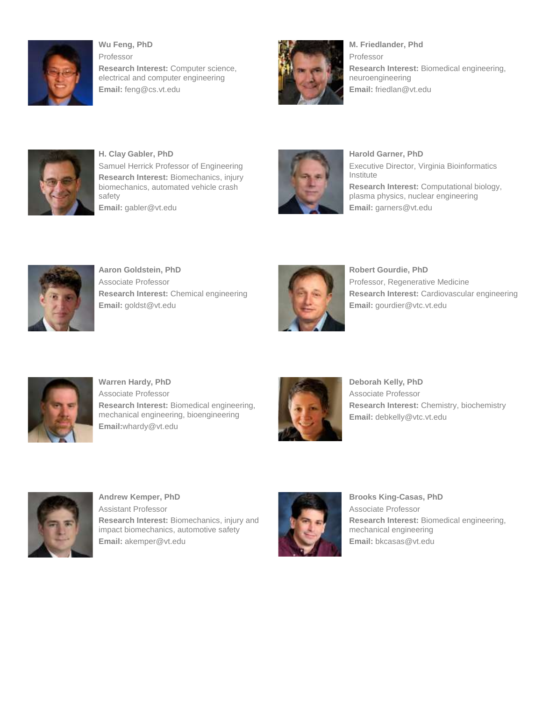

**Wu Feng, PhD** Professor **Research Interest:** Computer science, electrical and computer engineering **Email:** feng@cs.vt.edu



**M. Friedlander, Phd** Professor **Research Interest:** Biomedical engineering, neuroengineering **Email:** friedlan@vt.edu



**H. Clay Gabler, PhD** Samuel Herrick Professor of Engineering **Research Interest:** Biomechanics, injury biomechanics, automated vehicle crash safety **Email:** gabler@vt.edu



**Harold Garner, PhD** Executive Director, Virginia Bioinformatics Institute **Research Interest:** Computational biology, plasma physics, nuclear engineering **Email:** garners@vt.edu



**Aaron Goldstein, PhD** Associate Professor **Research Interest:** Chemical engineering **Email:** goldst@vt.edu



**Robert Gourdie, PhD** Professor, Regenerative Medicine **Research Interest:** Cardiovascular engineering **Email:** gourdier@vtc.vt.edu



**Warren Hardy, PhD** Associate Professor **Research Interest:** Biomedical engineering, mechanical engineering, bioengineering **Email:**whardy@vt.edu



**Deborah Kelly, PhD** Associate Professor **Research Interest:** Chemistry, biochemistry **Email:** debkelly@vtc.vt.edu



**Andrew Kemper, PhD** Assistant Professor **Research Interest:** Biomechanics, injury and impact biomechanics, automotive safety **Email:** akemper@vt.edu



**Brooks King-Casas, PhD** Associate Professor **Research Interest:** Biomedical engineering, mechanical engineering **Email:** bkcasas@vt.edu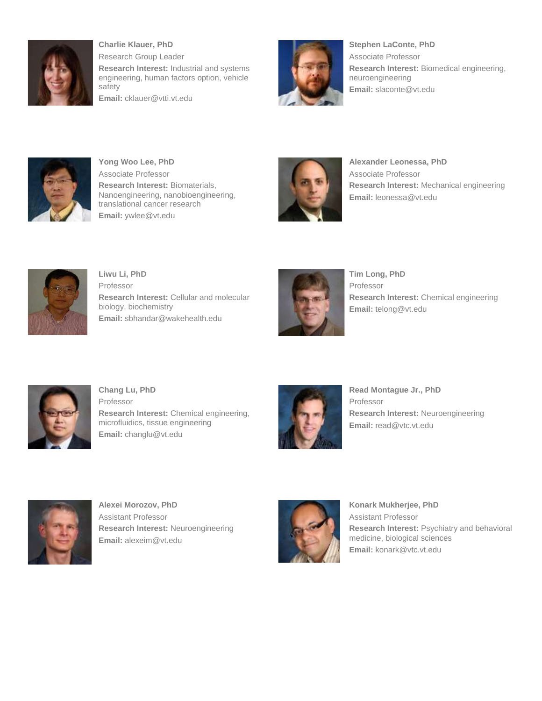

**Charlie Klauer, PhD** Research Group Leader **Research Interest:** Industrial and systems engineering, human factors option, vehicle safety **Email:** cklauer@vtti.vt.edu



**Stephen LaConte, PhD** Associate Professor **Research Interest:** Biomedical engineering, neuroengineering **Email:** slaconte@vt.edu



**Yong Woo Lee, PhD** Associate Professor **Research Interest:** Biomaterials, Nanoengineering, nanobioengineering, translational cancer research **Email:** ywlee@vt.edu



**Alexander Leonessa, PhD** Associate Professor **Research Interest:** Mechanical engineering **Email:** leonessa@vt.edu



**Liwu Li, PhD** Professor **Research Interest:** Cellular and molecular biology, biochemistry **Email:** sbhandar@wakehealth.edu



**Tim Long, PhD** Professor **Research Interest:** Chemical engineering **Email:** telong@vt.edu



**Chang Lu, PhD** Professor **Research Interest:** Chemical engineering, microfluidics, tissue engineering **Email:** changlu@vt.edu



**Read Montague Jr., PhD** Professor **Research Interest:** Neuroengineering **Email:** read@vtc.vt.edu



**Alexei Morozov, PhD** Assistant Professor **Research Interest:** Neuroengineering **Email:** alexeim@vt.edu



**Konark Mukherjee, PhD** Assistant Professor **Research Interest:** Psychiatry and behavioral medicine, biological sciences **Email:** konark@vtc.vt.edu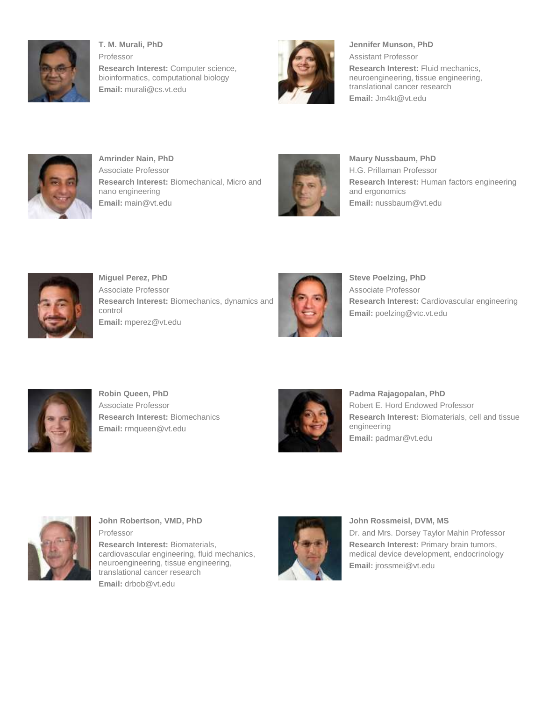

**T. M. Murali, PhD** Professor **Research Interest:** Computer science, bioinformatics, computational biology **Email:** murali@cs.vt.edu



**Jennifer Munson, PhD** Assistant Professor **Research Interest:** Fluid mechanics, neuroengineering, tissue engineering, translational cancer research **Email:** Jm4kt@vt.edu



**Amrinder Nain, PhD** Associate Professor **Research Interest:** Biomechanical, Micro and nano engineering **Email:** main@vt.edu



**Maury Nussbaum, PhD** H.G. Prillaman Professor **Research Interest:** Human factors engineering and ergonomics **Email:** nussbaum@vt.edu



**Miguel Perez, PhD** Associate Professor **Research Interest:** Biomechanics, dynamics and control **Email:** mperez@vt.edu



**Steve Poelzing, PhD** Associate Professor **Research Interest:** Cardiovascular engineering **Email:** poelzing@vtc.vt.edu



**Robin Queen, PhD** Associate Professor **Research Interest:** Biomechanics **Email:** rmqueen@vt.edu



**Padma Rajagopalan, PhD** Robert E. Hord Endowed Professor **Research Interest:** Biomaterials, cell and tissue engineering **Email:** padmar@vt.edu



**John Robertson, VMD, PhD** Professor **Research Interest:** Biomaterials, cardiovascular engineering, fluid mechanics,

neuroengineering, tissue engineering, translational cancer research **Email:** drbob@vt.edu



**John Rossmeisl, DVM, MS** Dr. and Mrs. Dorsey Taylor Mahin Professor

**Research Interest:** Primary brain tumors, medical device development, endocrinology **Email:** jrossmei@vt.edu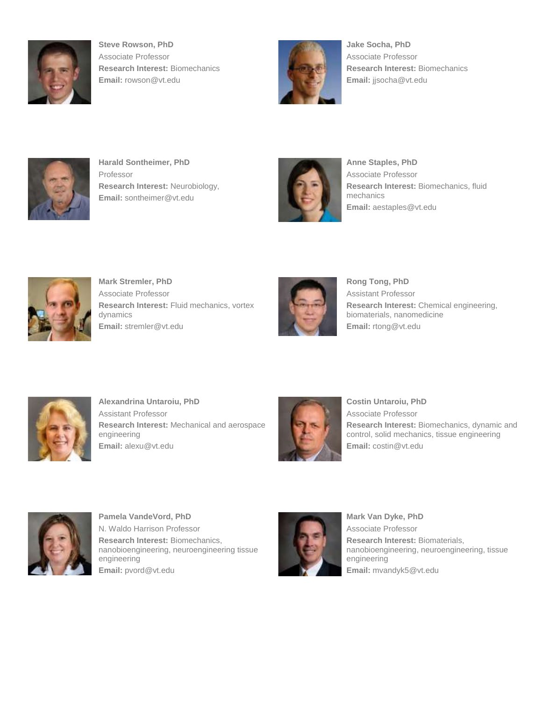

**Steve Rowson, PhD** Associate Professor **Research Interest:** Biomechanics **Email:** rowson@vt.edu



**Jake Socha, PhD** Associate Professor **Research Interest:** Biomechanics **Email:** jjsocha@vt.edu



**Harald Sontheimer, PhD** Professor **Research Interest:** Neurobiology, **Email:** sontheimer@vt.edu



**Anne Staples, PhD** Associate Professor **Research Interest:** Biomechanics, fluid mechanics **Email:** aestaples@vt.edu



**Mark Stremler, PhD** Associate Professor **Research Interest:** Fluid mechanics, vortex dynamics **Email:** stremler@vt.edu



**Rong Tong, PhD** Assistant Professor **Research Interest:** Chemical engineering, biomaterials, nanomedicine **Email:** rtong@vt.edu



**Alexandrina Untaroiu, PhD** Assistant Professor **Research Interest:** Mechanical and aerospace engineering **Email:** alexu@vt.edu



**Costin Untaroiu, PhD** Associate Professor **Research Interest:** Biomechanics, dynamic and control, solid mechanics, tissue engineering **Email:** costin@vt.edu



**Pamela VandeVord, PhD** N. Waldo Harrison Professor **Research Interest:** Biomechanics, nanobioengineering, neuroengineering tissue engineering **Email:** pvord@vt.edu



**Mark Van Dyke, PhD** Associate Professor **Research Interest:** Biomaterials, nanobioengineering, neuroengineering, tissue engineering **Email:** mvandyk5@vt.edu